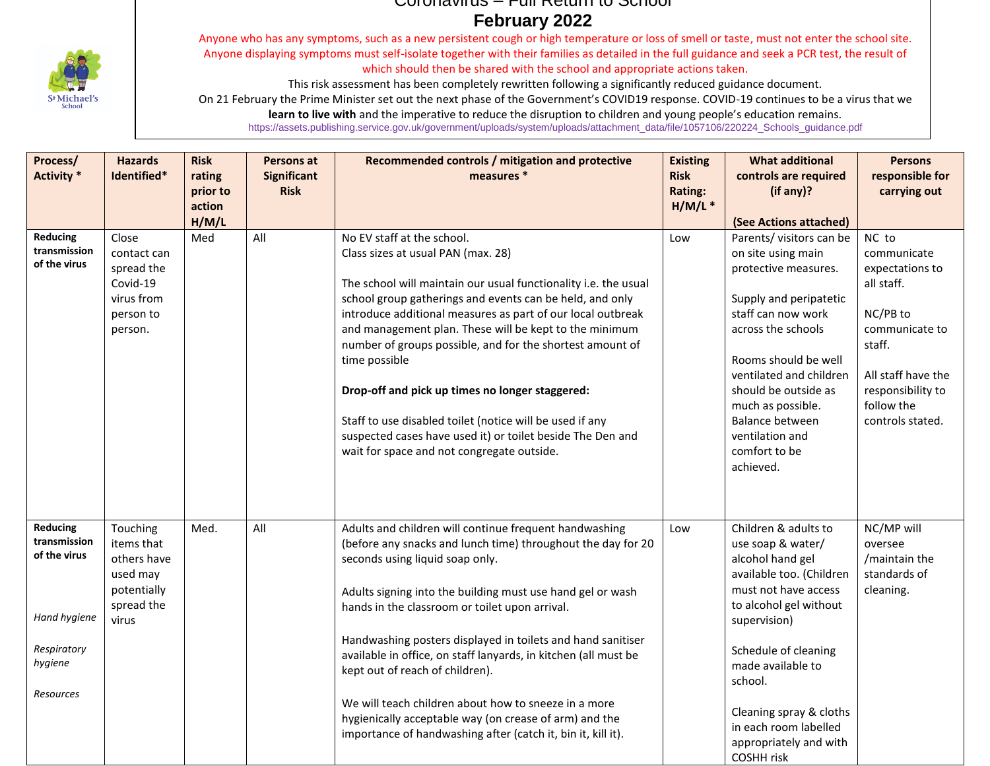

## Coronavirus – Full Return to School **February 2022**

Anyone who has any symptoms, such as a new persistent cough or high temperature or loss of smell or taste, must not enter the school site. Anyone displaying symptoms must self-isolate together with their families as detailed in the full guidance and seek a PCR test, the result of which should then be shared with the school and appropriate actions taken.

This risk assessment has been completely rewritten following a significantly reduced guidance document.

On 21 February the Prime Minister set out the next phase of the Government's COVID19 response. COVID-19 continues to be a virus that we

**learn to live with** and the imperative to reduce the disruption to children and young people's education remains.

https://assets.publishing.service.gov.uk/government/uploads/system/uploads/attachment\_data/file/1057106/220224\_Schools\_guidance.pdf

| Process/<br><b>Activity</b> *                                                                          | <b>Hazards</b><br>Identified*                                                           | <b>Risk</b><br>rating | <b>Persons at</b><br><b>Significant</b> | Recommended controls / mitigation and protective<br>measures *                                                                                                                                                                                                                                                                                                                                                                                                                                                                                                                                                                    | <b>Existing</b><br><b>Risk</b> | <b>What additional</b><br>controls are required                                                                                                                                                                                                                                                                        | <b>Persons</b><br>responsible for                                                                                                                                          |
|--------------------------------------------------------------------------------------------------------|-----------------------------------------------------------------------------------------|-----------------------|-----------------------------------------|-----------------------------------------------------------------------------------------------------------------------------------------------------------------------------------------------------------------------------------------------------------------------------------------------------------------------------------------------------------------------------------------------------------------------------------------------------------------------------------------------------------------------------------------------------------------------------------------------------------------------------------|--------------------------------|------------------------------------------------------------------------------------------------------------------------------------------------------------------------------------------------------------------------------------------------------------------------------------------------------------------------|----------------------------------------------------------------------------------------------------------------------------------------------------------------------------|
|                                                                                                        |                                                                                         | prior to<br>action    | <b>Risk</b>                             |                                                                                                                                                                                                                                                                                                                                                                                                                                                                                                                                                                                                                                   | Rating:<br>H/M/L               | (if any)?                                                                                                                                                                                                                                                                                                              | carrying out                                                                                                                                                               |
|                                                                                                        |                                                                                         | H/M/L                 |                                         |                                                                                                                                                                                                                                                                                                                                                                                                                                                                                                                                                                                                                                   |                                | (See Actions attached)                                                                                                                                                                                                                                                                                                 |                                                                                                                                                                            |
| Reducing<br>transmission<br>of the virus                                                               | Close<br>contact can<br>spread the<br>Covid-19<br>virus from<br>person to<br>person.    | Med                   | All                                     | No EV staff at the school.<br>Class sizes at usual PAN (max. 28)<br>The school will maintain our usual functionality i.e. the usual<br>school group gatherings and events can be held, and only<br>introduce additional measures as part of our local outbreak<br>and management plan. These will be kept to the minimum<br>number of groups possible, and for the shortest amount of<br>time possible<br>Drop-off and pick up times no longer staggered:<br>Staff to use disabled toilet (notice will be used if any<br>suspected cases have used it) or toilet beside The Den and<br>wait for space and not congregate outside. | Low                            | Parents/ visitors can be<br>on site using main<br>protective measures.<br>Supply and peripatetic<br>staff can now work<br>across the schools<br>Rooms should be well<br>ventilated and children<br>should be outside as<br>much as possible.<br>Balance between<br>ventilation and<br>comfort to be<br>achieved.       | NC to<br>communicate<br>expectations to<br>all staff.<br>NC/PB to<br>communicate to<br>staff.<br>All staff have the<br>responsibility to<br>follow the<br>controls stated. |
| <b>Reducing</b><br>transmission<br>of the virus<br>Hand hygiene<br>Respiratory<br>hygiene<br>Resources | Touching<br>items that<br>others have<br>used may<br>potentially<br>spread the<br>virus | Med.                  | All                                     | Adults and children will continue frequent handwashing<br>(before any snacks and lunch time) throughout the day for 20<br>seconds using liquid soap only.<br>Adults signing into the building must use hand gel or wash<br>hands in the classroom or toilet upon arrival.<br>Handwashing posters displayed in toilets and hand sanitiser<br>available in office, on staff lanyards, in kitchen (all must be<br>kept out of reach of children).<br>We will teach children about how to sneeze in a more<br>hygienically acceptable way (on crease of arm) and the<br>importance of handwashing after (catch it, bin it, kill it).  | Low                            | Children & adults to<br>use soap & water/<br>alcohol hand gel<br>available too. (Children<br>must not have access<br>to alcohol gel without<br>supervision)<br>Schedule of cleaning<br>made available to<br>school.<br>Cleaning spray & cloths<br>in each room labelled<br>appropriately and with<br><b>COSHH risk</b> | NC/MP will<br>oversee<br>/maintain the<br>standards of<br>cleaning.                                                                                                        |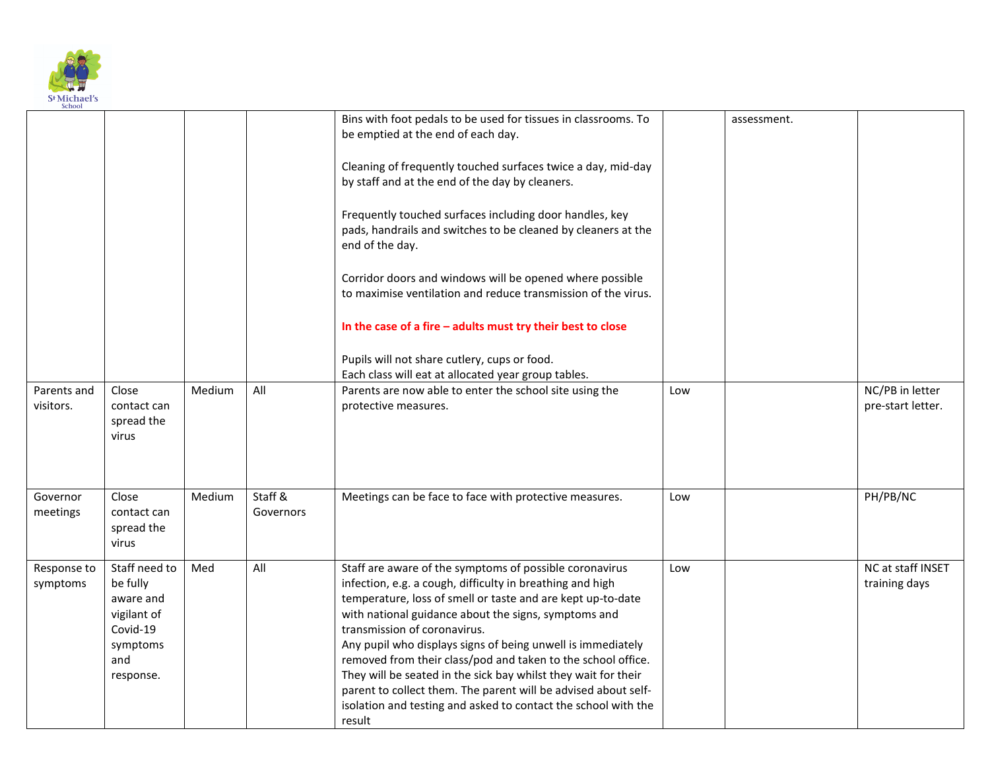

| <b>JULIUU</b>            |                                                                                                   |        |                      |                                                                                                                                                                                                                                                                                                                                                                                                                                                                                                                                                                                                                            |     |             |                                      |
|--------------------------|---------------------------------------------------------------------------------------------------|--------|----------------------|----------------------------------------------------------------------------------------------------------------------------------------------------------------------------------------------------------------------------------------------------------------------------------------------------------------------------------------------------------------------------------------------------------------------------------------------------------------------------------------------------------------------------------------------------------------------------------------------------------------------------|-----|-------------|--------------------------------------|
|                          |                                                                                                   |        |                      | Bins with foot pedals to be used for tissues in classrooms. To<br>be emptied at the end of each day.                                                                                                                                                                                                                                                                                                                                                                                                                                                                                                                       |     | assessment. |                                      |
|                          |                                                                                                   |        |                      | Cleaning of frequently touched surfaces twice a day, mid-day<br>by staff and at the end of the day by cleaners.                                                                                                                                                                                                                                                                                                                                                                                                                                                                                                            |     |             |                                      |
|                          |                                                                                                   |        |                      | Frequently touched surfaces including door handles, key<br>pads, handrails and switches to be cleaned by cleaners at the<br>end of the day.                                                                                                                                                                                                                                                                                                                                                                                                                                                                                |     |             |                                      |
|                          |                                                                                                   |        |                      | Corridor doors and windows will be opened where possible<br>to maximise ventilation and reduce transmission of the virus.                                                                                                                                                                                                                                                                                                                                                                                                                                                                                                  |     |             |                                      |
|                          |                                                                                                   |        |                      | In the case of a fire - adults must try their best to close                                                                                                                                                                                                                                                                                                                                                                                                                                                                                                                                                                |     |             |                                      |
|                          |                                                                                                   |        |                      | Pupils will not share cutlery, cups or food.<br>Each class will eat at allocated year group tables.                                                                                                                                                                                                                                                                                                                                                                                                                                                                                                                        |     |             |                                      |
| Parents and<br>visitors. | Close<br>contact can<br>spread the<br>virus                                                       | Medium | All                  | Parents are now able to enter the school site using the<br>protective measures.                                                                                                                                                                                                                                                                                                                                                                                                                                                                                                                                            | Low |             | NC/PB in letter<br>pre-start letter. |
| Governor<br>meetings     | Close<br>contact can<br>spread the<br>virus                                                       | Medium | Staff &<br>Governors | Meetings can be face to face with protective measures.                                                                                                                                                                                                                                                                                                                                                                                                                                                                                                                                                                     | Low |             | PH/PB/NC                             |
| Response to<br>symptoms  | Staff need to<br>be fully<br>aware and<br>vigilant of<br>Covid-19<br>symptoms<br>and<br>response. | Med    | All                  | Staff are aware of the symptoms of possible coronavirus<br>infection, e.g. a cough, difficulty in breathing and high<br>temperature, loss of smell or taste and are kept up-to-date<br>with national guidance about the signs, symptoms and<br>transmission of coronavirus.<br>Any pupil who displays signs of being unwell is immediately<br>removed from their class/pod and taken to the school office.<br>They will be seated in the sick bay whilst they wait for their<br>parent to collect them. The parent will be advised about self-<br>isolation and testing and asked to contact the school with the<br>result | Low |             | NC at staff INSET<br>training days   |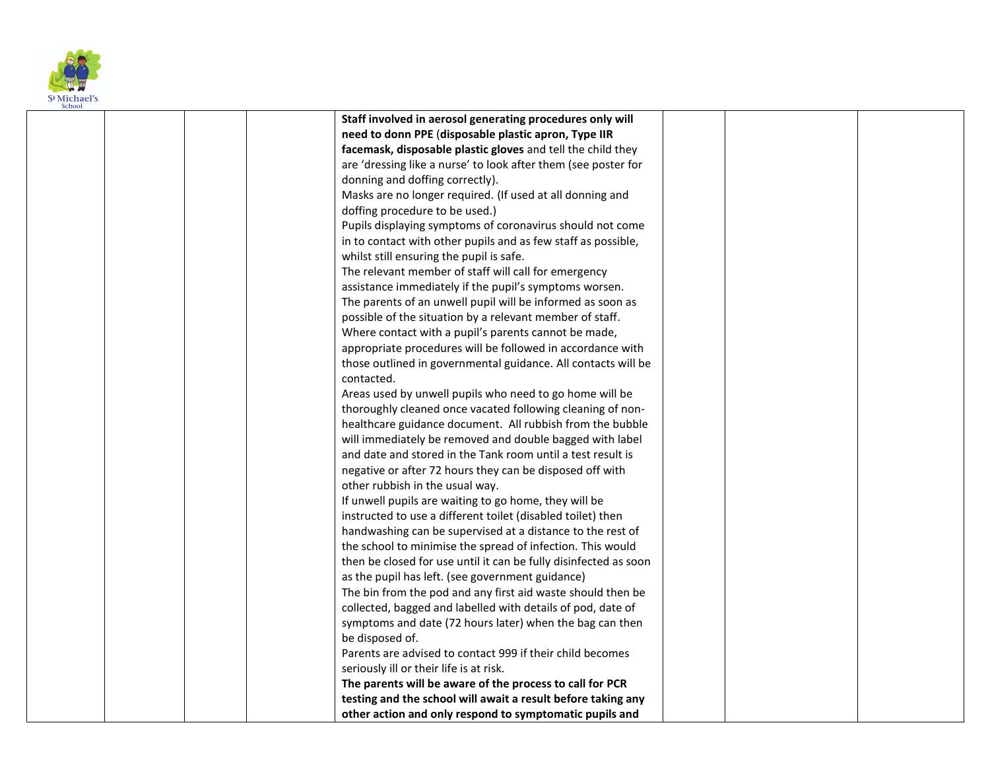

| эспоот |                                                                  |  |  |
|--------|------------------------------------------------------------------|--|--|
|        | Staff involved in aerosol generating procedures only will        |  |  |
|        | need to donn PPE (disposable plastic apron, Type IIR             |  |  |
|        | facemask, disposable plastic gloves and tell the child they      |  |  |
|        | are 'dressing like a nurse' to look after them (see poster for   |  |  |
|        | donning and doffing correctly).                                  |  |  |
|        | Masks are no longer required. (If used at all donning and        |  |  |
|        | doffing procedure to be used.)                                   |  |  |
|        | Pupils displaying symptoms of coronavirus should not come        |  |  |
|        | in to contact with other pupils and as few staff as possible,    |  |  |
|        | whilst still ensuring the pupil is safe.                         |  |  |
|        | The relevant member of staff will call for emergency             |  |  |
|        | assistance immediately if the pupil's symptoms worsen.           |  |  |
|        | The parents of an unwell pupil will be informed as soon as       |  |  |
|        | possible of the situation by a relevant member of staff.         |  |  |
|        | Where contact with a pupil's parents cannot be made,             |  |  |
|        | appropriate procedures will be followed in accordance with       |  |  |
|        | those outlined in governmental guidance. All contacts will be    |  |  |
|        | contacted.                                                       |  |  |
|        | Areas used by unwell pupils who need to go home will be          |  |  |
|        | thoroughly cleaned once vacated following cleaning of non-       |  |  |
|        | healthcare guidance document. All rubbish from the bubble        |  |  |
|        | will immediately be removed and double bagged with label         |  |  |
|        | and date and stored in the Tank room until a test result is      |  |  |
|        | negative or after 72 hours they can be disposed off with         |  |  |
|        | other rubbish in the usual way.                                  |  |  |
|        | If unwell pupils are waiting to go home, they will be            |  |  |
|        | instructed to use a different toilet (disabled toilet) then      |  |  |
|        | handwashing can be supervised at a distance to the rest of       |  |  |
|        | the school to minimise the spread of infection. This would       |  |  |
|        | then be closed for use until it can be fully disinfected as soon |  |  |
|        | as the pupil has left. (see government guidance)                 |  |  |
|        | The bin from the pod and any first aid waste should then be      |  |  |
|        | collected, bagged and labelled with details of pod, date of      |  |  |
|        | symptoms and date (72 hours later) when the bag can then         |  |  |
|        | be disposed of.                                                  |  |  |
|        | Parents are advised to contact 999 if their child becomes        |  |  |
|        | seriously ill or their life is at risk.                          |  |  |
|        | The parents will be aware of the process to call for PCR         |  |  |
|        | testing and the school will await a result before taking any     |  |  |
|        | other action and only respond to symptomatic pupils and          |  |  |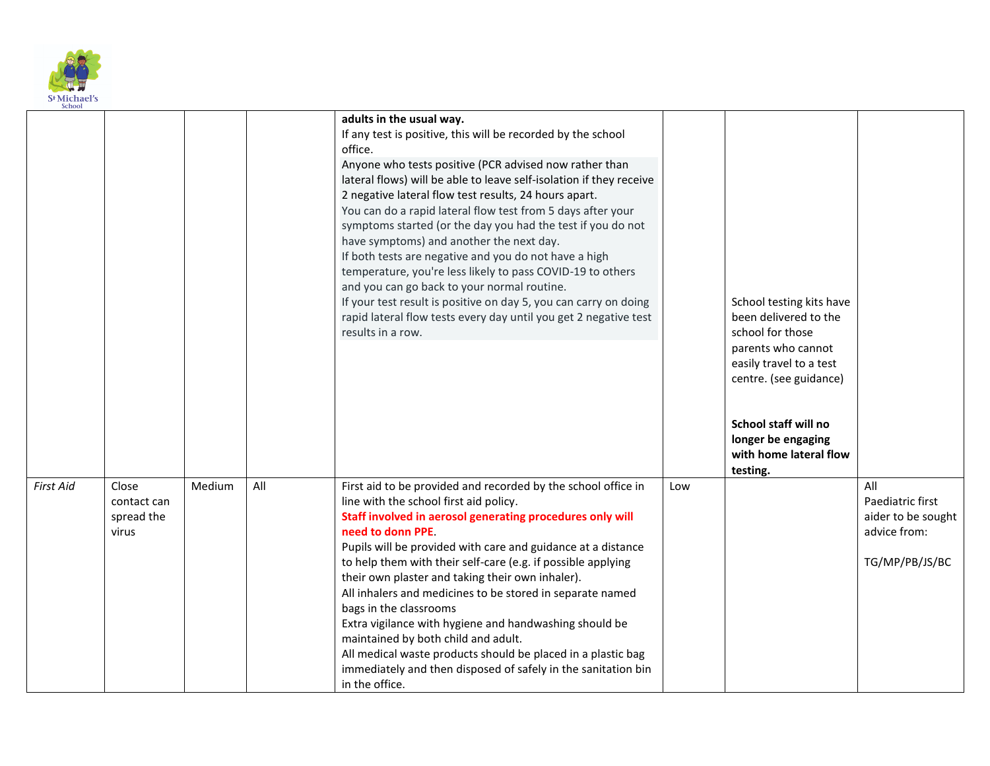

| <b>SCHOOL</b>    |                                             |        |     |                                                                                                                                                                                                                                                                                                                                                                                                                                                                                                                                                                                                                                                                                                                                                                                                            |     |                                                                                                                                                                                                                          |                                                                                 |
|------------------|---------------------------------------------|--------|-----|------------------------------------------------------------------------------------------------------------------------------------------------------------------------------------------------------------------------------------------------------------------------------------------------------------------------------------------------------------------------------------------------------------------------------------------------------------------------------------------------------------------------------------------------------------------------------------------------------------------------------------------------------------------------------------------------------------------------------------------------------------------------------------------------------------|-----|--------------------------------------------------------------------------------------------------------------------------------------------------------------------------------------------------------------------------|---------------------------------------------------------------------------------|
|                  |                                             |        |     | adults in the usual way.<br>If any test is positive, this will be recorded by the school<br>office.<br>Anyone who tests positive (PCR advised now rather than<br>lateral flows) will be able to leave self-isolation if they receive<br>2 negative lateral flow test results, 24 hours apart.<br>You can do a rapid lateral flow test from 5 days after your<br>symptoms started (or the day you had the test if you do not<br>have symptoms) and another the next day.<br>If both tests are negative and you do not have a high<br>temperature, you're less likely to pass COVID-19 to others<br>and you can go back to your normal routine.<br>If your test result is positive on day 5, you can carry on doing<br>rapid lateral flow tests every day until you get 2 negative test<br>results in a row. |     | School testing kits have<br>been delivered to the<br>school for those<br>parents who cannot<br>easily travel to a test<br>centre. (see guidance)<br>School staff will no<br>longer be engaging<br>with home lateral flow |                                                                                 |
| <b>First Aid</b> | Close<br>contact can<br>spread the<br>virus | Medium | All | First aid to be provided and recorded by the school office in<br>line with the school first aid policy.<br>Staff involved in aerosol generating procedures only will<br>need to donn PPE.<br>Pupils will be provided with care and guidance at a distance<br>to help them with their self-care (e.g. if possible applying<br>their own plaster and taking their own inhaler).<br>All inhalers and medicines to be stored in separate named<br>bags in the classrooms<br>Extra vigilance with hygiene and handwashing should be<br>maintained by both child and adult.<br>All medical waste products should be placed in a plastic bag<br>immediately and then disposed of safely in the sanitation bin<br>in the office.                                                                                   | Low | testing.                                                                                                                                                                                                                 | All<br>Paediatric first<br>aider to be sought<br>advice from:<br>TG/MP/PB/JS/BC |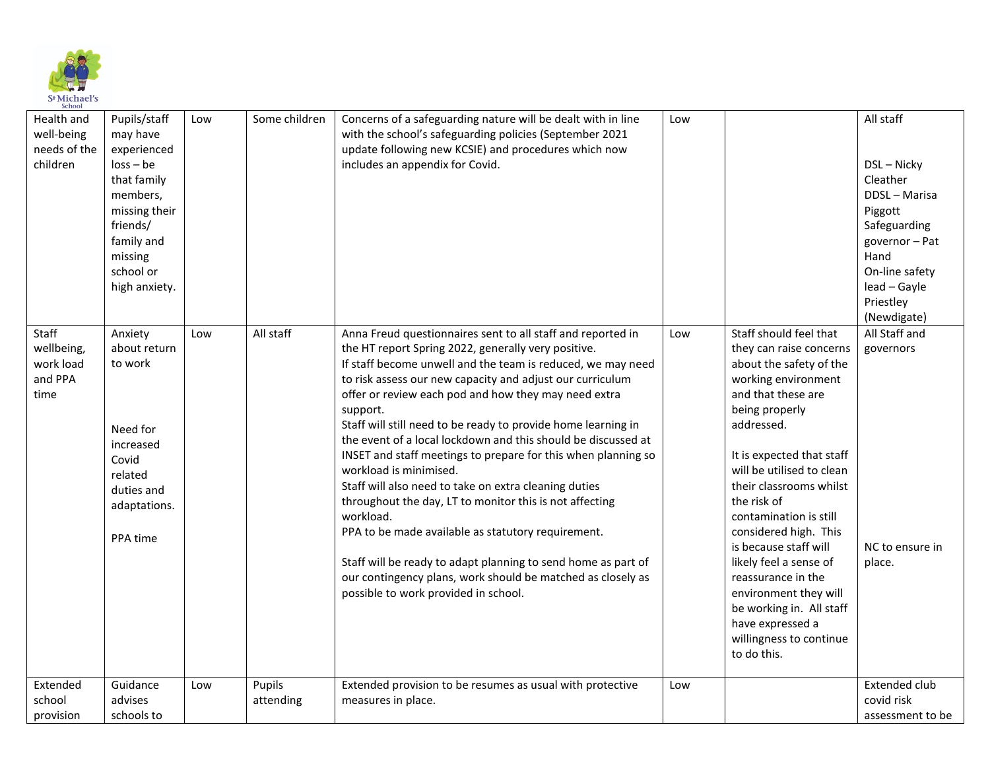

| Health and<br>well-being<br>needs of the<br>children | Pupils/staff<br>may have<br>experienced<br>$loss - be$<br>that family<br>members,<br>missing their<br>friends/<br>family and<br>missing<br>school or<br>high anxiety. | Low | Some children       | Concerns of a safeguarding nature will be dealt with in line<br>with the school's safeguarding policies (September 2021<br>update following new KCSIE) and procedures which now<br>includes an appendix for Covid.                                                                                                                                                                                                                                                                                                                                                                                                                                                                                                                                                                                                                                                                                             | Low |                                                                                                                                                                                                                                                                                                                                                                                                                                                                                                              | All staff<br>DSL-Nicky<br>Cleather<br>DDSL - Marisa<br>Piggott<br>Safeguarding<br>governor-Pat<br>Hand<br>On-line safety<br>lead - Gayle<br>Priestley<br>(Newdigate) |
|------------------------------------------------------|-----------------------------------------------------------------------------------------------------------------------------------------------------------------------|-----|---------------------|----------------------------------------------------------------------------------------------------------------------------------------------------------------------------------------------------------------------------------------------------------------------------------------------------------------------------------------------------------------------------------------------------------------------------------------------------------------------------------------------------------------------------------------------------------------------------------------------------------------------------------------------------------------------------------------------------------------------------------------------------------------------------------------------------------------------------------------------------------------------------------------------------------------|-----|--------------------------------------------------------------------------------------------------------------------------------------------------------------------------------------------------------------------------------------------------------------------------------------------------------------------------------------------------------------------------------------------------------------------------------------------------------------------------------------------------------------|----------------------------------------------------------------------------------------------------------------------------------------------------------------------|
| Staff<br>wellbeing,<br>work load<br>and PPA<br>time  | Anxiety<br>about return<br>to work<br>Need for<br>increased<br>Covid<br>related<br>duties and<br>adaptations.<br>PPA time                                             | Low | All staff           | Anna Freud questionnaires sent to all staff and reported in<br>the HT report Spring 2022, generally very positive.<br>If staff become unwell and the team is reduced, we may need<br>to risk assess our new capacity and adjust our curriculum<br>offer or review each pod and how they may need extra<br>support.<br>Staff will still need to be ready to provide home learning in<br>the event of a local lockdown and this should be discussed at<br>INSET and staff meetings to prepare for this when planning so<br>workload is minimised.<br>Staff will also need to take on extra cleaning duties<br>throughout the day, LT to monitor this is not affecting<br>workload.<br>PPA to be made available as statutory requirement.<br>Staff will be ready to adapt planning to send home as part of<br>our contingency plans, work should be matched as closely as<br>possible to work provided in school. | Low | Staff should feel that<br>they can raise concerns<br>about the safety of the<br>working environment<br>and that these are<br>being properly<br>addressed.<br>It is expected that staff<br>will be utilised to clean<br>their classrooms whilst<br>the risk of<br>contamination is still<br>considered high. This<br>is because staff will<br>likely feel a sense of<br>reassurance in the<br>environment they will<br>be working in. All staff<br>have expressed a<br>willingness to continue<br>to do this. | All Staff and<br>governors<br>NC to ensure in<br>place.                                                                                                              |
| Extended<br>school<br>provision                      | Guidance<br>advises<br>schools to                                                                                                                                     | Low | Pupils<br>attending | Extended provision to be resumes as usual with protective<br>measures in place.                                                                                                                                                                                                                                                                                                                                                                                                                                                                                                                                                                                                                                                                                                                                                                                                                                | Low |                                                                                                                                                                                                                                                                                                                                                                                                                                                                                                              | Extended club<br>covid risk<br>assessment to be                                                                                                                      |